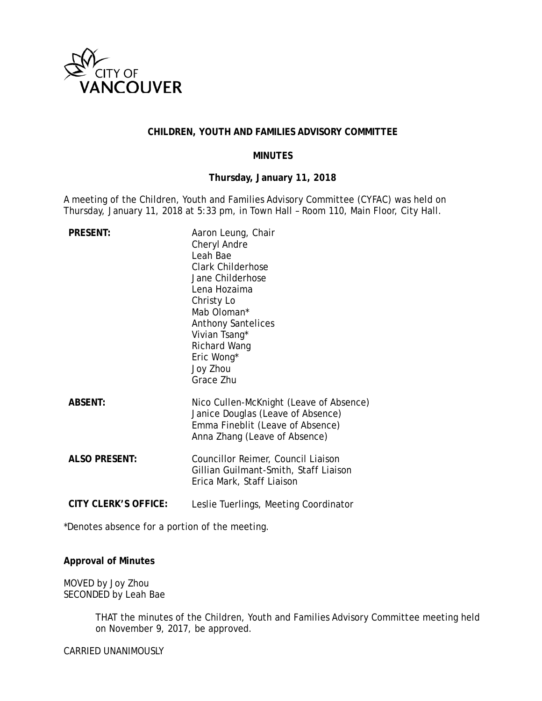

### **CHILDREN, YOUTH AND FAMILIES ADVISORY COMMITTEE**

### **MINUTES**

### **Thursday, January 11, 2018**

A meeting of the Children, Youth and Families Advisory Committee (CYFAC) was held on Thursday, January 11, 2018 at 5:33 pm, in Town Hall – Room 110, Main Floor, City Hall.

| <b>PRESENT:</b>             | Aaron Leung, Chair<br>Cheryl Andre<br>Leah Bae<br><b>Clark Childerhose</b><br>Jane Childerhose<br>Lena Hozaima<br>Christy Lo<br>Mab Oloman*<br><b>Anthony Santelices</b><br>Vivian Tsang*<br><b>Richard Wang</b><br>Eric Wong*<br>Joy Zhou<br>Grace Zhu |
|-----------------------------|---------------------------------------------------------------------------------------------------------------------------------------------------------------------------------------------------------------------------------------------------------|
| <b>ABSENT:</b>              | Nico Cullen-McKnight (Leave of Absence)<br>Janice Douglas (Leave of Absence)<br>Emma Fineblit (Leave of Absence)<br>Anna Zhang (Leave of Absence)                                                                                                       |
| <b>ALSO PRESENT:</b>        | Councillor Reimer, Council Liaison<br>Gillian Guilmant-Smith, Staff Liaison<br>Erica Mark, Staff Liaison                                                                                                                                                |
| <b>CITY CLERK'S OFFICE:</b> | Leslie Tuerlings, Meeting Coordinator                                                                                                                                                                                                                   |

\*Denotes absence for a portion of the meeting.

### **Approval of Minutes**

MOVED by Joy Zhou SECONDED by Leah Bae

> THAT the minutes of the Children, Youth and Families Advisory Committee meeting held on November 9, 2017, be approved.

CARRIED UNANIMOUSLY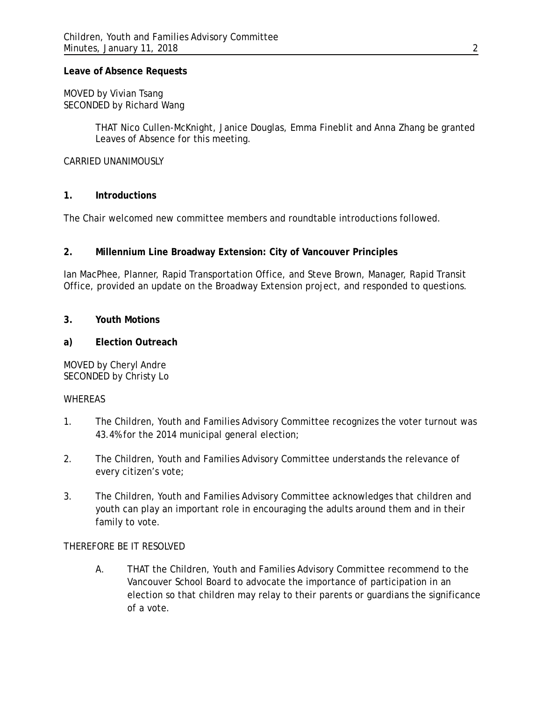### **Leave of Absence Requests**

MOVED by Vivian Tsang SECONDED by Richard Wang

> THAT Nico Cullen-McKnight, Janice Douglas, Emma Fineblit and Anna Zhang be granted Leaves of Absence for this meeting.

### CARRIED UNANIMOUSLY

### **1. Introductions**

The Chair welcomed new committee members and roundtable introductions followed.

# **2. Millennium Line Broadway Extension: City of Vancouver Principles**

Ian MacPhee, Planner, Rapid Transportation Office, and Steve Brown, Manager, Rapid Transit Office, provided an update on the Broadway Extension project, and responded to questions.

### **3. Youth Motions**

### **a) Election Outreach**

MOVED by Cheryl Andre SECONDED by Christy Lo

### WHEREAS

- 1. The Children, Youth and Families Advisory Committee recognizes the voter turnout was 43.4% for the 2014 municipal general election;
- 2. The Children, Youth and Families Advisory Committee understands the relevance of every citizen's vote;
- 3. The Children, Youth and Families Advisory Committee acknowledges that children and youth can play an important role in encouraging the adults around them and in their family to vote.

# THEREFORE BE IT RESOLVED

A. THAT the Children, Youth and Families Advisory Committee recommend to the Vancouver School Board to advocate the importance of participation in an election so that children may relay to their parents or guardians the significance of a vote.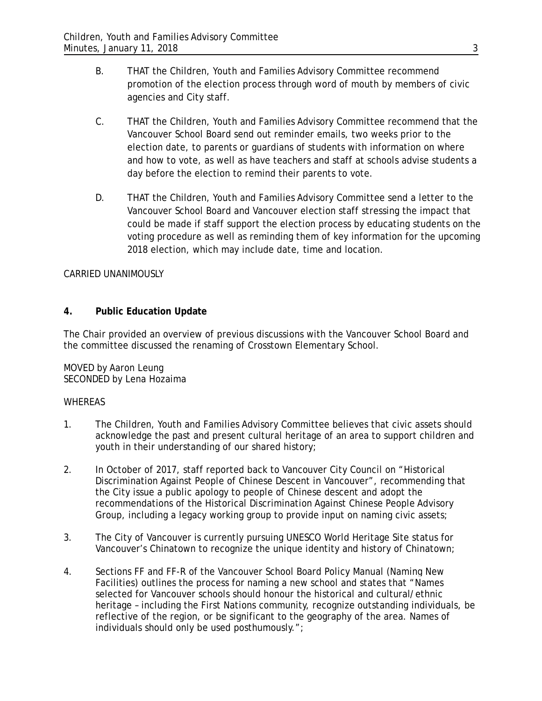- B. THAT the Children, Youth and Families Advisory Committee recommend promotion of the election process through word of mouth by members of civic agencies and City staff.
- C. THAT the Children, Youth and Families Advisory Committee recommend that the Vancouver School Board send out reminder emails, two weeks prior to the election date, to parents or guardians of students with information on where and how to vote, as well as have teachers and staff at schools advise students a day before the election to remind their parents to vote.
- D. THAT the Children, Youth and Families Advisory Committee send a letter to the Vancouver School Board and Vancouver election staff stressing the impact that could be made if staff support the election process by educating students on the voting procedure as well as reminding them of key information for the upcoming 2018 election, which may include date, time and location.

# CARRIED UNANIMOUSLY

# **4. Public Education Update**

The Chair provided an overview of previous discussions with the Vancouver School Board and the committee discussed the renaming of Crosstown Elementary School.

MOVED by Aaron Leung SECONDED by Lena Hozaima

# **WHEREAS**

- 1. The Children, Youth and Families Advisory Committee believes that civic assets should acknowledge the past and present cultural heritage of an area to support children and youth in their understanding of our shared history;
- 2. In October of 2017, staff reported back to Vancouver City Council on "Historical Discrimination Against People of Chinese Descent in Vancouver", recommending that the City issue a public apology to people of Chinese descent and adopt the recommendations of the Historical Discrimination Against Chinese People Advisory Group, including a legacy working group to provide input on naming civic assets;
- 3. The City of Vancouver is currently pursuing UNESCO World Heritage Site status for Vancouver's Chinatown to recognize the unique identity and history of Chinatown;
- 4. Sections FF and FF-R of the Vancouver School Board Policy Manual (Naming New Facilities*)* outlines the process for naming a new school and states that "Names selected for Vancouver schools should honour the historical and cultural/ethnic heritage – including the First Nations community, recognize outstanding individuals, be reflective of the region, or be significant to the geography of the area. Names of individuals should only be used posthumously.";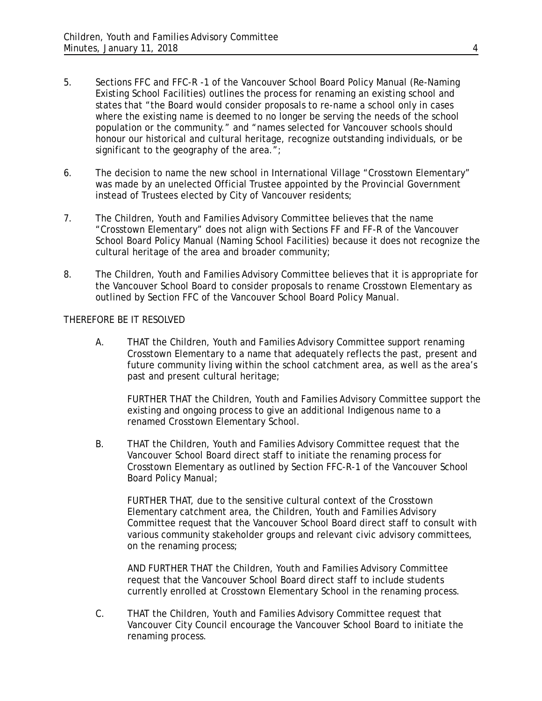- 5. Sections FFC and FFC-R -1 of the Vancouver School Board Policy Manual (Re-Naming Existing School Facilities) outlines the process for renaming an existing school and states that "the Board would consider proposals to re-name a school only in cases where the existing name is deemed to no longer be serving the needs of the school population or the community." and "names selected for Vancouver schools should honour our historical and cultural heritage, recognize outstanding individuals, or be significant to the geography of the area.";
- 6. The decision to name the new school in International Village "Crosstown Elementary" was made by an unelected Official Trustee appointed by the Provincial Government instead of Trustees elected by City of Vancouver residents;
- 7. The Children, Youth and Families Advisory Committee believes that the name "Crosstown Elementary" does not align with Sections FF and FF-R of the Vancouver School Board Policy Manual (Naming School Facilities) because it does not recognize the cultural heritage of the area and broader community;
- 8. The Children, Youth and Families Advisory Committee believes that it is appropriate for the Vancouver School Board to consider proposals to rename Crosstown Elementary as outlined by Section FFC of the Vancouver School Board Policy Manual.

# THEREFORE BE IT RESOLVED

A. THAT the Children, Youth and Families Advisory Committee support renaming Crosstown Elementary to a name that adequately reflects the past, present and future community living within the school catchment area, as well as the area's past and present cultural heritage;

FURTHER THAT the Children, Youth and Families Advisory Committee support the existing and ongoing process to give an additional Indigenous name to a renamed Crosstown Elementary School.

B. THAT the Children, Youth and Families Advisory Committee request that the Vancouver School Board direct staff to initiate the renaming process for Crosstown Elementary as outlined by Section FFC-R-1 of the Vancouver School Board Policy Manual;

FURTHER THAT, due to the sensitive cultural context of the Crosstown Elementary catchment area, the Children, Youth and Families Advisory Committee request that the Vancouver School Board direct staff to consult with various community stakeholder groups and relevant civic advisory committees, on the renaming process;

AND FURTHER THAT the Children, Youth and Families Advisory Committee request that the Vancouver School Board direct staff to include students currently enrolled at Crosstown Elementary School in the renaming process.

C. THAT the Children, Youth and Families Advisory Committee request that Vancouver City Council encourage the Vancouver School Board to initiate the renaming process.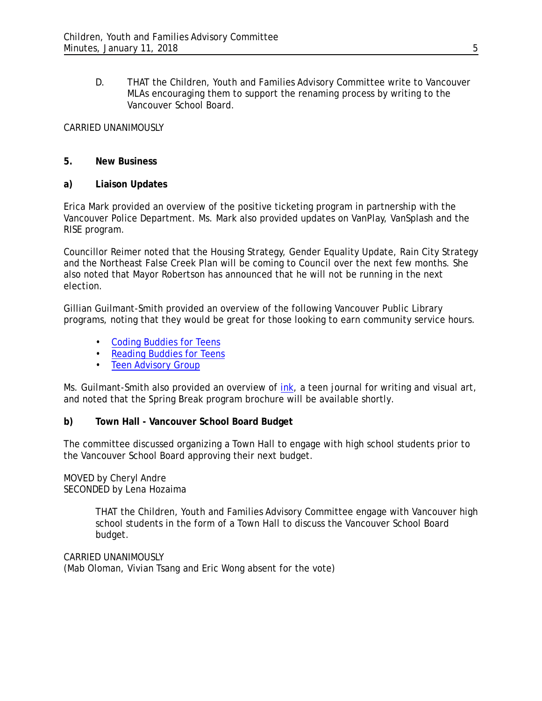D. THAT the Children, Youth and Families Advisory Committee write to Vancouver MLAs encouraging them to support the renaming process by writing to the Vancouver School Board.

### CARRIED UNANIMOUSLY

### **5. New Business**

### **a) Liaison Updates**

Erica Mark provided an overview of the positive ticketing program in partnership with the Vancouver Police Department. Ms. Mark also provided updates on VanPlay, VanSplash and the RISE program.

Councillor Reimer noted that the Housing Strategy, Gender Equality Update, Rain City Strategy and the Northeast False Creek Plan will be coming to Council over the next few months. She also noted that Mayor Robertson has announced that he will not be running in the next election.

Gillian Guilmant-Smith provided an overview of the following Vancouver Public Library programs, noting that they would be great for those looking to earn community service hours.

- [Coding Buddies for Teens](http://www.vpl.ca/program/coding-buddies)
- [Reading Buddies for Teens](http://www.vpl.ca/program/reading-buddies-teens)
- [Teen Advisory Group](http://www.vpl.ca/program/teen-advisory-group)

Ms. Guilmant-Smith also provided an overview of *[ink](http://www.vpl.ca/program/ink-teen-journal-writing-and-visual-art)*, a teen journal for writing and visual art, and noted that the Spring Break program brochure will be available shortly.

# **b) Town Hall - Vancouver School Board Budget**

The committee discussed organizing a Town Hall to engage with high school students prior to the Vancouver School Board approving their next budget.

### MOVED by Cheryl Andre SECONDED by Lena Hozaima

THAT the Children, Youth and Families Advisory Committee engage with Vancouver high school students in the form of a Town Hall to discuss the Vancouver School Board budget.

CARRIED UNANIMOUSLY (Mab Oloman, Vivian Tsang and Eric Wong absent for the vote)